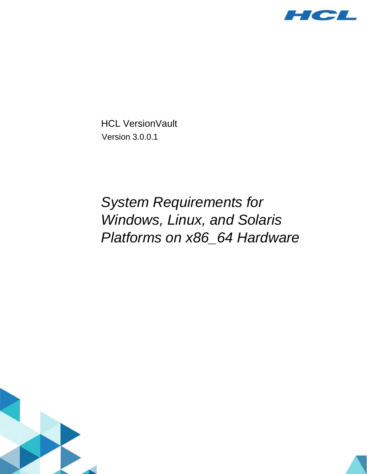

HCL VersionVault Version 3.0.0.1

# *System Requirements for Windows, Linux, and Solaris Platforms on x86\_64 Hardware*



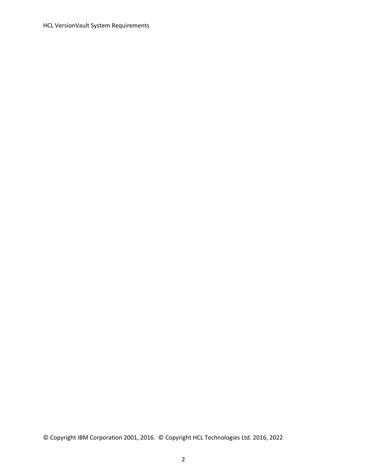HCL VersionVault System Requirements

© Copyright IBM Corporation 2001, 2016. © Copyright HCL Technologies Ltd. 2016, 2022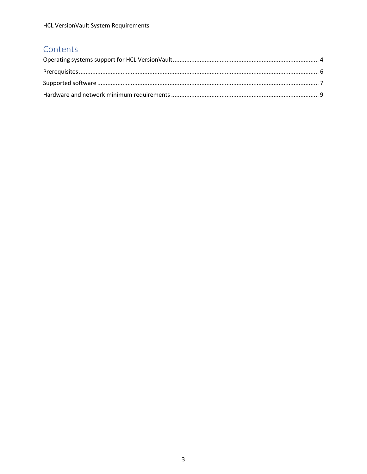#### Contents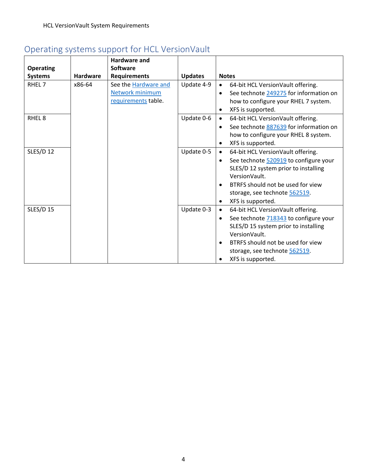## <span id="page-3-0"></span>Operating systems support for HCL VersionVault

| <b>Operating</b>  |                 | <b>Hardware and</b><br><b>Software</b>                         |                |                                                                                                                                                                                                                                                                            |  |
|-------------------|-----------------|----------------------------------------------------------------|----------------|----------------------------------------------------------------------------------------------------------------------------------------------------------------------------------------------------------------------------------------------------------------------------|--|
| <b>Systems</b>    | <b>Hardware</b> | <b>Requirements</b>                                            | <b>Updates</b> | <b>Notes</b>                                                                                                                                                                                                                                                               |  |
| RHEL <sub>7</sub> | x86-64          | See the Hardware and<br>Network minimum<br>requirements table. | Update 4-9     | 64-bit HCL VersionVault offering.<br>$\bullet$<br>See technote 249275 for information on<br>$\bullet$<br>how to configure your RHEL 7 system.<br>XFS is supported.<br>$\bullet$                                                                                            |  |
| RHEL <sub>8</sub> |                 |                                                                | Update 0-6     | 64-bit HCL VersionVault offering.<br>$\bullet$<br>See technote 887639 for information on<br>٠<br>how to configure your RHEL 8 system.<br>XFS is supported.<br>$\bullet$                                                                                                    |  |
| <b>SLES/D 12</b>  |                 |                                                                | Update 0-5     | 64-bit HCL VersionVault offering.<br>$\bullet$<br>See technote 520919 to configure your<br>$\bullet$<br>SLES/D 12 system prior to installing<br>VersionVault.<br>BTRFS should not be used for view<br>٠<br>storage, see technote 562519.<br>XFS is supported.<br>$\bullet$ |  |
| <b>SLES/D 15</b>  |                 |                                                                | Update 0-3     | 64-bit HCL VersionVault offering.<br>$\bullet$<br>See technote 718343 to configure your<br>٠<br>SLES/D 15 system prior to installing<br>VersionVault.<br>BTRFS should not be used for view<br>$\bullet$<br>storage, see technote 562519.<br>XFS is supported.              |  |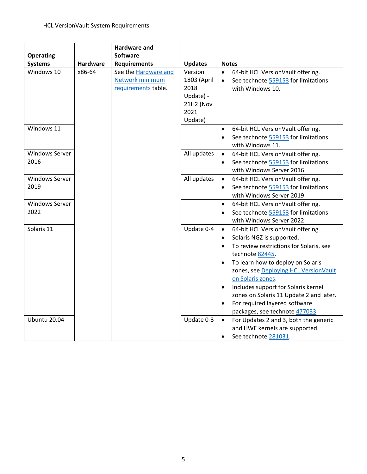|                       |          | <b>Hardware and</b>         |                   |                                                                                         |
|-----------------------|----------|-----------------------------|-------------------|-----------------------------------------------------------------------------------------|
| <b>Operating</b>      |          | <b>Software</b>             |                   |                                                                                         |
| <b>Systems</b>        | Hardware | <b>Requirements</b>         | <b>Updates</b>    | <b>Notes</b>                                                                            |
| Windows 10            | x86-64   | See the <b>Hardware and</b> | Version           | 64-bit HCL VersionVault offering.<br>$\bullet$                                          |
|                       |          | Network minimum             | 1803 (April       | See technote 559153 for limitations<br>$\bullet$                                        |
|                       |          | requirements table.         | 2018<br>Update) - | with Windows 10.                                                                        |
|                       |          |                             | 21H2 (Nov         |                                                                                         |
|                       |          |                             | 2021              |                                                                                         |
|                       |          |                             | Update)           |                                                                                         |
| Windows 11            |          |                             |                   | 64-bit HCL VersionVault offering.<br>$\bullet$                                          |
|                       |          |                             |                   | See technote 559153 for limitations<br>$\bullet$                                        |
|                       |          |                             |                   | with Windows 11.                                                                        |
| <b>Windows Server</b> |          |                             | All updates       | 64-bit HCL VersionVault offering.<br>$\bullet$                                          |
| 2016                  |          |                             |                   | See technote 559153 for limitations<br>$\bullet$                                        |
|                       |          |                             |                   | with Windows Server 2016.                                                               |
| <b>Windows Server</b> |          |                             | All updates       | 64-bit HCL VersionVault offering.<br>$\bullet$                                          |
| 2019                  |          |                             |                   | See technote 559153 for limitations<br>$\bullet$                                        |
|                       |          |                             |                   | with Windows Server 2019.                                                               |
| <b>Windows Server</b> |          |                             |                   | 64-bit HCL VersionVault offering.<br>$\bullet$                                          |
| 2022                  |          |                             |                   | See technote 559153 for limitations<br>$\bullet$                                        |
|                       |          |                             |                   | with Windows Server 2022.                                                               |
| Solaris 11            |          |                             | Update 0-4        | 64-bit HCL VersionVault offering.<br>$\bullet$                                          |
|                       |          |                             |                   | Solaris NGZ is supported.<br>$\bullet$                                                  |
|                       |          |                             |                   | To review restrictions for Solaris, see<br>$\bullet$                                    |
|                       |          |                             |                   | technote 82445.                                                                         |
|                       |          |                             |                   | To learn how to deploy on Solaris<br>$\bullet$<br>zones, see Deploying HCL VersionVault |
|                       |          |                             |                   | on Solaris zones.                                                                       |
|                       |          |                             |                   | Includes support for Solaris kernel<br>$\bullet$                                        |
|                       |          |                             |                   | zones on Solaris 11 Update 2 and later.                                                 |
|                       |          |                             |                   | For required layered software<br>$\bullet$                                              |
|                       |          |                             |                   | packages, see technote 477033.                                                          |
| <b>Ubuntu 20.04</b>   |          |                             | Update 0-3        | For Updates 2 and 3, both the generic<br>$\bullet$                                      |
|                       |          |                             |                   | and HWE kernels are supported.                                                          |
|                       |          |                             |                   | See technote 281031.<br>$\bullet$                                                       |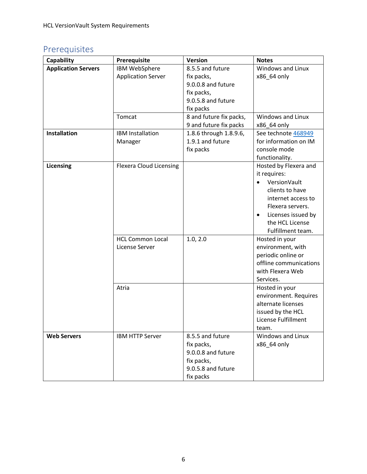## <span id="page-5-0"></span>Prerequisites

| Capability                 | Prerequisite                   | Version                 | <b>Notes</b>                    |
|----------------------------|--------------------------------|-------------------------|---------------------------------|
| <b>Application Servers</b> | IBM WebSphere                  | 8.5.5 and future        | Windows and Linux               |
|                            | <b>Application Server</b>      | fix packs,              | x86_64 only                     |
|                            |                                | 9.0.0.8 and future      |                                 |
|                            |                                | fix packs,              |                                 |
|                            |                                | 9.0.5.8 and future      |                                 |
|                            |                                | fix packs               |                                 |
|                            | Tomcat                         | 8 and future fix packs, | Windows and Linux               |
|                            |                                | 9 and future fix packs  | x86_64 only                     |
| <b>Installation</b>        | <b>IBM Installation</b>        | 1.8.6 through 1.8.9.6,  | See technote 468949             |
|                            | Manager                        | 1.9.1 and future        | for information on IM           |
|                            |                                | fix packs               | console mode                    |
|                            |                                |                         | functionality.                  |
| Licensing                  | <b>Flexera Cloud Licensing</b> |                         | Hosted by Flexera and           |
|                            |                                |                         | it requires:                    |
|                            |                                |                         | VersionVault<br>$\bullet$       |
|                            |                                |                         | clients to have                 |
|                            |                                |                         | internet access to              |
|                            |                                |                         | Flexera servers.                |
|                            |                                |                         | Licenses issued by<br>$\bullet$ |
|                            |                                |                         | the HCL License                 |
|                            |                                |                         | Fulfillment team.               |
|                            | <b>HCL Common Local</b>        | 1.0, 2.0                | Hosted in your                  |
|                            | License Server                 |                         | environment, with               |
|                            |                                |                         | periodic online or              |
|                            |                                |                         | offline communications          |
|                            |                                |                         | with Flexera Web                |
|                            |                                |                         | Services.                       |
|                            | Atria                          |                         | Hosted in your                  |
|                            |                                |                         | environment. Requires           |
|                            |                                |                         | alternate licenses              |
|                            |                                |                         | issued by the HCL               |
|                            |                                |                         | License Fulfillment             |
|                            |                                |                         | team.                           |
| <b>Web Servers</b>         | <b>IBM HTTP Server</b>         | 8.5.5 and future        | Windows and Linux               |
|                            |                                | fix packs,              | x86_64 only                     |
|                            |                                | 9.0.0.8 and future      |                                 |
|                            |                                | fix packs,              |                                 |
|                            |                                | 9.0.5.8 and future      |                                 |
|                            |                                | fix packs               |                                 |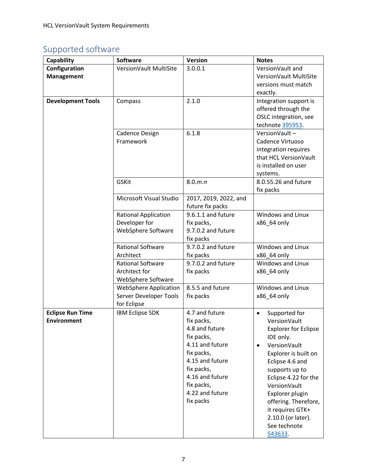## <span id="page-6-0"></span>Supported software

| Capability               | <b>Software</b>              | <b>Version</b>        | <b>Notes</b>                |
|--------------------------|------------------------------|-----------------------|-----------------------------|
| Configuration            | VersionVault MultiSite       | 3.0.0.1               | VersionVault and            |
| <b>Management</b>        |                              |                       | VersionVault MultiSite      |
|                          |                              |                       | versions must match         |
|                          |                              |                       | exactly.                    |
| <b>Development Tools</b> | Compass                      | 2.1.0                 | Integration support is      |
|                          |                              |                       | offered through the         |
|                          |                              |                       | OSLC integration, see       |
|                          |                              |                       | technote 395953.            |
|                          | Cadence Design               | 6.1.8                 | VersionVault-               |
|                          | Framework                    |                       | Cadence Virtuoso            |
|                          |                              |                       | integration requires        |
|                          |                              |                       | that HCL VersionVault       |
|                          |                              |                       | is installed on user        |
|                          |                              |                       | systems.                    |
|                          | <b>GSKit</b>                 | 8.0.m.n               | 8.0.55.26 and future        |
|                          |                              |                       | fix packs                   |
|                          | Microsoft Visual Studio      | 2017, 2019, 2022, and |                             |
|                          |                              | future fix packs      |                             |
|                          | <b>Rational Application</b>  | 9.6.1.1 and future    | Windows and Linux           |
|                          | Developer for                | fix packs,            | x86_64 only                 |
|                          | WebSphere Software           | 9.7.0.2 and future    |                             |
|                          |                              | fix packs             |                             |
|                          | <b>Rational Software</b>     | 9.7.0.2 and future    | Windows and Linux           |
|                          | Architect                    | fix packs             | x86_64 only                 |
|                          | <b>Rational Software</b>     | 9.7.0.2 and future    | Windows and Linux           |
|                          | Architect for                | fix packs             | x86_64 only                 |
|                          | WebSphere Software           |                       |                             |
|                          | <b>WebSphere Application</b> | 8.5.5 and future      | Windows and Linux           |
|                          | Server Developer Tools       | fix packs             | x86_64 only                 |
|                          | for Eclipse                  |                       |                             |
| <b>Eclipse Run Time</b>  | <b>IBM Eclipse SDK</b>       | 4.7 and future        | Supported for<br>$\bullet$  |
| <b>Environment</b>       |                              | fix packs,            | VersionVault                |
|                          |                              | 4.8 and future        | <b>Explorer for Eclipse</b> |
|                          |                              | fix packs,            | IDE only.                   |
|                          |                              | 4.11 and future       | VersionVault<br>$\bullet$   |
|                          |                              | fix packs,            | Explorer is built on        |
|                          |                              | 4.15 and future       | Eclipse 4.6 and             |
|                          |                              | fix packs,            | supports up to              |
|                          |                              | 4.16 and future       | Eclipse 4.22 for the        |
|                          |                              | fix packs,            | VersionVault                |
|                          |                              | 4.22 and future       | Explorer plugin             |
|                          |                              | fix packs             | offering. Therefore,        |
|                          |                              |                       | it requires GTK+            |
|                          |                              |                       | 2.10.0 (or later).          |
|                          |                              |                       | See technote                |
|                          |                              |                       | 543633.                     |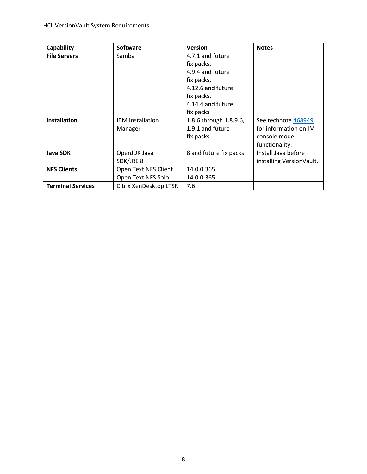| Capability               | <b>Software</b>         | <b>Version</b>         | <b>Notes</b>             |
|--------------------------|-------------------------|------------------------|--------------------------|
| <b>File Servers</b>      | Samba                   | 4.7.1 and future       |                          |
|                          |                         | fix packs,             |                          |
|                          |                         | 4.9.4 and future       |                          |
|                          |                         | fix packs,             |                          |
|                          |                         | 4.12.6 and future      |                          |
|                          |                         | fix packs,             |                          |
|                          |                         | 4.14.4 and future      |                          |
|                          |                         | fix packs              |                          |
| <b>Installation</b>      | <b>IBM</b> Installation | 1.8.6 through 1.8.9.6, | See technote 468949      |
|                          | Manager                 | 1.9.1 and future       | for information on IM    |
|                          |                         | fix packs              | console mode             |
|                          |                         |                        | functionality.           |
| <b>Java SDK</b>          | OpenJDK Java            | 8 and future fix packs | Install Java before      |
|                          | SDK/JRE 8               |                        | installing VersionVault. |
| <b>NFS Clients</b>       | Open Text NFS Client    | 14.0.0.365             |                          |
|                          | Open Text NFS Solo      | 14.0.0.365             |                          |
| <b>Terminal Services</b> | Citrix XenDesktop LTSR  | 7.6                    |                          |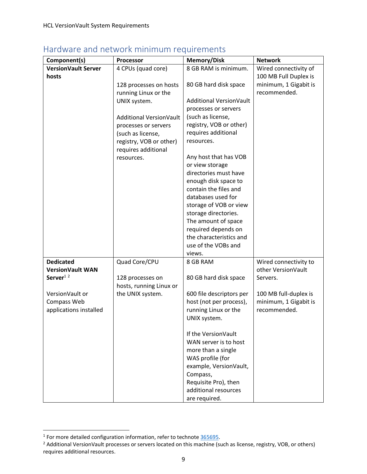| Component(s)               | <b>Processor</b>        | <b>Memory/Disk</b>                          | <b>Network</b>        |
|----------------------------|-------------------------|---------------------------------------------|-----------------------|
| <b>VersionVault Server</b> | 4 CPUs (quad core)      | 8 GB RAM is minimum.                        | Wired connectivity of |
| hosts                      |                         |                                             | 100 MB Full Duplex is |
|                            | 128 processes on hosts  | 80 GB hard disk space                       | minimum, 1 Gigabit is |
|                            | running Linux or the    |                                             | recommended.          |
|                            | UNIX system.            | Additional VersionVault                     |                       |
|                            |                         | processes or servers                        |                       |
|                            | Additional VersionVault | (such as license,                           |                       |
|                            | processes or servers    | registry, VOB or other)                     |                       |
|                            | (such as license,       | requires additional                         |                       |
|                            | registry, VOB or other) | resources.                                  |                       |
|                            | requires additional     |                                             |                       |
|                            | resources.              | Any host that has VOB                       |                       |
|                            |                         | or view storage                             |                       |
|                            |                         | directories must have                       |                       |
|                            |                         | enough disk space to                        |                       |
|                            |                         | contain the files and<br>databases used for |                       |
|                            |                         | storage of VOB or view                      |                       |
|                            |                         | storage directories.                        |                       |
|                            |                         | The amount of space                         |                       |
|                            |                         | required depends on                         |                       |
|                            |                         | the characteristics and                     |                       |
|                            |                         | use of the VOBs and                         |                       |
|                            |                         | views.                                      |                       |
| <b>Dedicated</b>           | Quad Core/CPU           | 8 GB RAM                                    | Wired connectivity to |
| <b>VersionVault WAN</b>    |                         |                                             | other VersionVault    |
| Server <sup>12</sup>       | 128 processes on        | 80 GB hard disk space                       | Servers.              |
|                            | hosts, running Linux or |                                             |                       |
| VersionVault or            | the UNIX system.        | 600 file descriptors per                    | 100 MB full-duplex is |
| Compass Web                |                         | host (not per process),                     | minimum, 1 Gigabit is |
| applications installed     |                         | running Linux or the                        | recommended.          |
|                            |                         | UNIX system.                                |                       |
|                            |                         | If the VersionVault                         |                       |
|                            |                         | WAN server is to host                       |                       |
|                            |                         | more than a single                          |                       |
|                            |                         | WAS profile (for                            |                       |
|                            |                         | example, VersionVault,                      |                       |
|                            |                         | Compass,                                    |                       |
|                            |                         | Requisite Pro), then                        |                       |
|                            |                         | additional resources                        |                       |
|                            |                         | are required.                               |                       |

#### <span id="page-8-0"></span>Hardware and network minimum requirements

 $\overline{a}$ 

 $<sup>1</sup>$  For more detailed configuration information, refer to technote  $365695$ .</sup>

<sup>&</sup>lt;sup>2</sup> Additional VersionVault processes or servers located on this machine (such as license, registry, VOB, or others) requires additional resources.